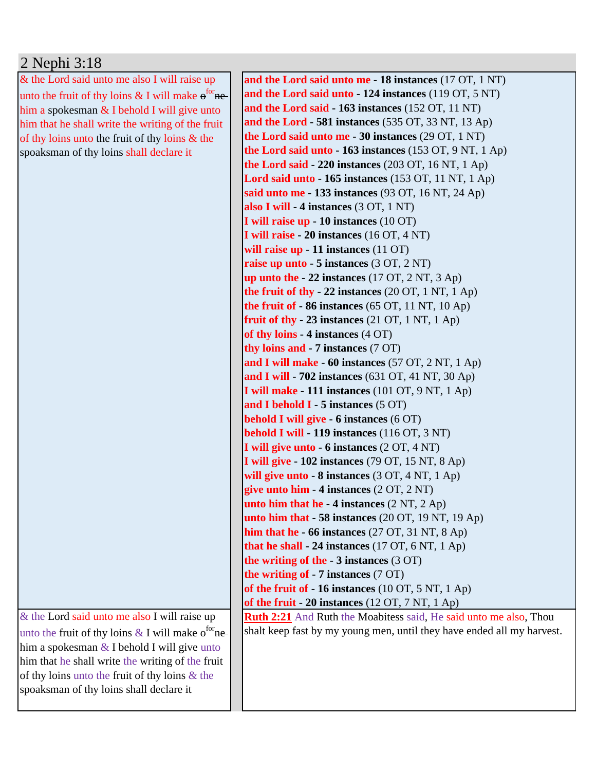## 2 Nephi 3:18

& the Lord said unto me also I will raise up unto the fruit of thy loins  $\&$  I will make  $e^{for}$  nehim a spokesman  $&$  I behold I will give unto him that he shall write the writing of the fruit of thy loins unto the fruit of thy loins & the spoaksman of thy loins shall declare it

& the Lord said unto me also I will raise up unto the fruit of thy loins  $\&$  I will make  $e^{for}$ nehim a spokesman  $&$  I behold I will give unto him that he shall write the writing of the fruit of thy loins unto the fruit of thy loins & the spoaksman of thy loins shall declare it

**and the Lord said unto me - 18 instances** (17 OT, 1 NT) **and the Lord said unto - 124 instances** (119 OT, 5 NT) **and the Lord said - 163 instances** (152 OT, 11 NT) **and the Lord - 581 instances** (535 OT, 33 NT, 13 Ap) **the Lord said unto me - 30 instances** (29 OT, 1 NT) **the Lord said unto - 163 instances** (153 OT, 9 NT, 1 Ap) **the Lord said - 220 instances** (203 OT, 16 NT, 1 Ap) **Lord said unto - 165 instances** (153 OT, 11 NT, 1 Ap) **said unto me - 133 instances** (93 OT, 16 NT, 24 Ap) **also I will - 4 instances** (3 OT, 1 NT) **I will raise up - 10 instances** (10 OT) **I will raise - 20 instances** (16 OT, 4 NT) **will raise up - 11 instances** (11 OT) **raise up unto - 5 instances** (3 OT, 2 NT) **up unto the - 22 instances** (17 OT, 2 NT, 3 Ap) **the fruit of thy - 22 instances** (20 OT, 1 NT, 1 Ap) **the fruit of - 86 instances** (65 OT, 11 NT, 10 Ap) **fruit of thy - 23 instances** (21 OT, 1 NT, 1 Ap) **of thy loins - 4 instances** (4 OT) **thy loins and - 7 instances** (7 OT) **and I will make - 60 instances** (57 OT, 2 NT, 1 Ap) **and I will - 702 instances** (631 OT, 41 NT, 30 Ap) **I will make - 111 instances** (101 OT, 9 NT, 1 Ap) **and I behold I - 5 instances** (5 OT) **behold I will give - 6 instances** (6 OT) **behold I will - 119 instances** (116 OT, 3 NT) **I will give unto - 6 instances** (2 OT, 4 NT) **I will give - 102 instances** (79 OT, 15 NT, 8 Ap) **will give unto - 8 instances** (3 OT, 4 NT, 1 Ap) **give unto him - 4 instances** (2 OT, 2 NT) **unto him that he - 4 instances** (2 NT, 2 Ap) **unto him that - 58 instances** (20 OT, 19 NT, 19 Ap) **him that he - 66 instances** (27 OT, 31 NT, 8 Ap) **that he shall - 24 instances** (17 OT, 6 NT, 1 Ap) **the writing of the - 3 instances** (3 OT) **the writing of - 7 instances** (7 OT) **of the fruit of - 16 instances** (10 OT, 5 NT, 1 Ap) **of the fruit - 20 instances** (12 OT, 7 NT, 1 Ap) **Ruth 2:21** And Ruth the Moabitess said, He said unto me also, Thou shalt keep fast by my young men, until they have ended all my harvest.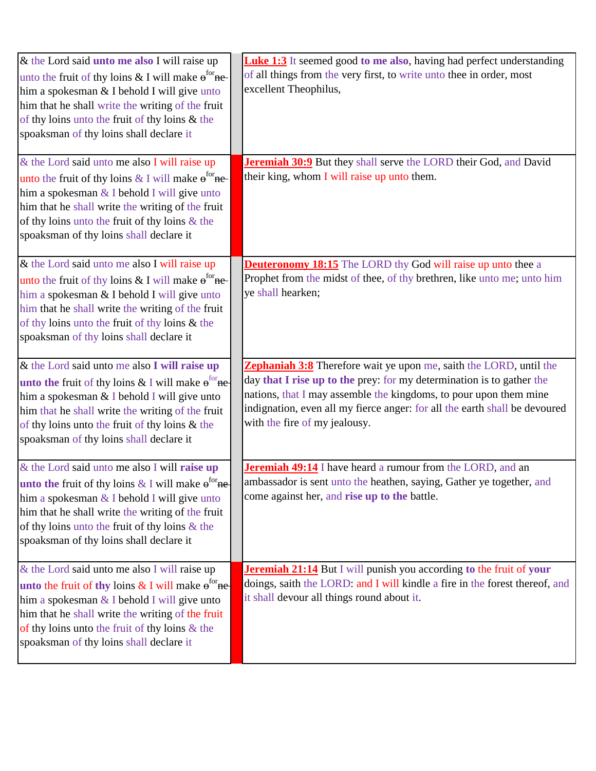| & the Lord said <b>unto me also</b> I will raise up<br>unto the fruit of thy loins & I will make $e^{for}$ ne-<br>him a spokesman & I behold I will give unto<br>him that he shall write the writing of the fruit<br>of thy loins unto the fruit of thy loins & the<br>spoaksman of thy loins shall declare it | <b>Luke 1:3</b> It seemed good to me also, having had perfect understanding<br>of all things from the very first, to write unto thee in order, most<br>excellent Theophilus,                                                                                                                                                    |
|----------------------------------------------------------------------------------------------------------------------------------------------------------------------------------------------------------------------------------------------------------------------------------------------------------------|---------------------------------------------------------------------------------------------------------------------------------------------------------------------------------------------------------------------------------------------------------------------------------------------------------------------------------|
| & the Lord said unto me also I will raise up<br>unto the fruit of thy loins & I will make $e^{for}$ ne-<br>him a spokesman $&$ I behold I will give unto<br>him that he shall write the writing of the fruit<br>of thy loins unto the fruit of thy loins $\&$ the<br>spoaksman of thy loins shall declare it   | Jeremiah 30:9 But they shall serve the LORD their God, and David<br>their king, whom I will raise up unto them.                                                                                                                                                                                                                 |
| & the Lord said unto me also I will raise up<br>unto the fruit of thy loins & I will make $e^{for}$ ne-<br>him a spokesman & I behold I will give unto<br>him that he shall write the writing of the fruit<br>of thy loins unto the fruit of thy loins $\&$ the<br>spoaksman of thy loins shall declare it     | <b>Deuteronomy 18:15</b> The LORD thy God will raise up unto thee a<br>Prophet from the midst of thee, of thy brethren, like unto me; unto him<br>ye shall hearken;                                                                                                                                                             |
| & the Lord said unto me also I will raise up<br>unto the fruit of thy loins & I will make $e^{for}$ ne<br>him a spokesman & I behold I will give unto<br>him that he shall write the writing of the fruit<br>of thy loins unto the fruit of thy loins & the<br>spoaksman of thy loins shall declare it         | Zephaniah 3:8 Therefore wait ye upon me, saith the LORD, until the<br>day that I rise up to the prey: for my determination is to gather the<br>nations, that I may assemble the kingdoms, to pour upon them mine<br>indignation, even all my fierce anger: for all the earth shall be devoured<br>with the fire of my jealousy. |
| & the Lord said unto me also I will raise up<br>unto the fruit of thy loins & I will make $e^{for}$ ne<br>him a spokesman $&$ I behold I will give unto<br>him that he shall write the writing of the fruit<br>of thy loins unto the fruit of thy loins $\&$ the<br>spoaksman of thy loins shall declare it    | Jeremiah 49:14 I have heard a rumour from the LORD, and an<br>ambassador is sent unto the heathen, saying, Gather ye together, and<br>come against her, and rise up to the battle.                                                                                                                                              |
| & the Lord said unto me also I will raise up<br>unto the fruit of thy loins $&$ I will make $e^{for}$ ne<br>him a spokesman & I behold I will give unto<br>him that he shall write the writing of the fruit<br>of thy loins unto the fruit of thy loins $\&$ the<br>spoaksman of thy loins shall declare it    | <b>Jeremiah 21:14</b> But I will punish you according to the fruit of your<br>doings, saith the LORD: and I will kindle a fire in the forest thereof, and<br>it shall devour all things round about it.                                                                                                                         |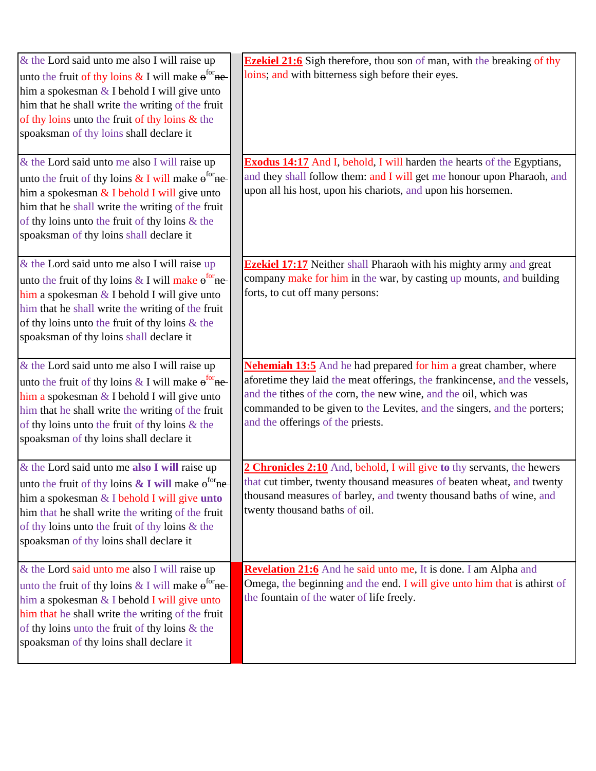| & the Lord said unto me also I will raise up<br>unto the fruit of thy loins & I will make $e^{tor}$ ne-<br>him a spokesman & I behold I will give unto<br>him that he shall write the writing of the fruit<br>of thy loins unto the fruit of thy loins & the<br>spoaksman of thy loins shall declare it<br>& the Lord said unto me also I will raise up<br>unto the fruit of thy loins $&$ I will make $e^{tor}$ ne-<br>him a spokesman $&$ I behold I will give unto | <b>Ezekiel 21:6</b> Sigh therefore, thou son of man, with the breaking of thy<br>loins; and with bitterness sigh before their eyes.<br><b>Exodus 14:17</b> And I, behold, I will harden the hearts of the Egyptians,<br>and they shall follow them: and I will get me honour upon Pharaoh, and<br>upon all his host, upon his chariots, and upon his horsemen. |
|-----------------------------------------------------------------------------------------------------------------------------------------------------------------------------------------------------------------------------------------------------------------------------------------------------------------------------------------------------------------------------------------------------------------------------------------------------------------------|----------------------------------------------------------------------------------------------------------------------------------------------------------------------------------------------------------------------------------------------------------------------------------------------------------------------------------------------------------------|
| him that he shall write the writing of the fruit<br>of thy loins unto the fruit of thy loins $\&$ the<br>spoaksman of thy loins shall declare it                                                                                                                                                                                                                                                                                                                      |                                                                                                                                                                                                                                                                                                                                                                |
| & the Lord said unto me also I will raise up<br>unto the fruit of thy loins & I will make $e^{tor}$ ne-<br>him a spokesman & I behold I will give unto<br>him that he shall write the writing of the fruit<br>of thy loins unto the fruit of thy loins $\&$ the<br>spoaksman of thy loins shall declare it                                                                                                                                                            | <b>Ezekiel 17:17</b> Neither shall Pharaoh with his mighty army and great<br>company make for him in the war, by casting up mounts, and building<br>forts, to cut off many persons:                                                                                                                                                                            |
| & the Lord said unto me also I will raise up<br>unto the fruit of thy loins & I will make $e^{for}$ ne-<br>him a spokesman $&$ I behold I will give unto<br>him that he shall write the writing of the fruit<br>of thy loins unto the fruit of thy loins $\&$ the<br>spoaksman of thy loins shall declare it                                                                                                                                                          | <b>Nehemiah 13:5</b> And he had prepared for him a great chamber, where<br>aforetime they laid the meat offerings, the frankincense, and the vessels,<br>and the tithes of the corn, the new wine, and the oil, which was<br>commanded to be given to the Levites, and the singers, and the porters;<br>and the offerings of the priests.                      |
| & the Lord said unto me also I will raise up<br>unto the fruit of thy loins $\&$ I will make $e^{for}$ ne-<br>him a spokesman $&$ I behold I will give unto<br>him that he shall write the writing of the fruit<br>of thy loins unto the fruit of thy loins $\&$ the<br>spoaksman of thy loins shall declare it                                                                                                                                                       | 2 Chronicles 2:10 And, behold, I will give to thy servants, the hewers<br>that cut timber, twenty thousand measures of beaten wheat, and twenty<br>thousand measures of barley, and twenty thousand baths of wine, and<br>twenty thousand baths of oil.                                                                                                        |
| & the Lord said unto me also I will raise up<br>unto the fruit of thy loins & I will make $e^{for}$ ne-<br>him a spokesman & I behold I will give unto<br>him that he shall write the writing of the fruit<br>of thy loins unto the fruit of thy loins $\&$ the<br>spoaksman of thy loins shall declare it                                                                                                                                                            | Revelation 21:6 And he said unto me, It is done. I am Alpha and<br>Omega, the beginning and the end. I will give unto him that is athirst of<br>the fountain of the water of life freely.                                                                                                                                                                      |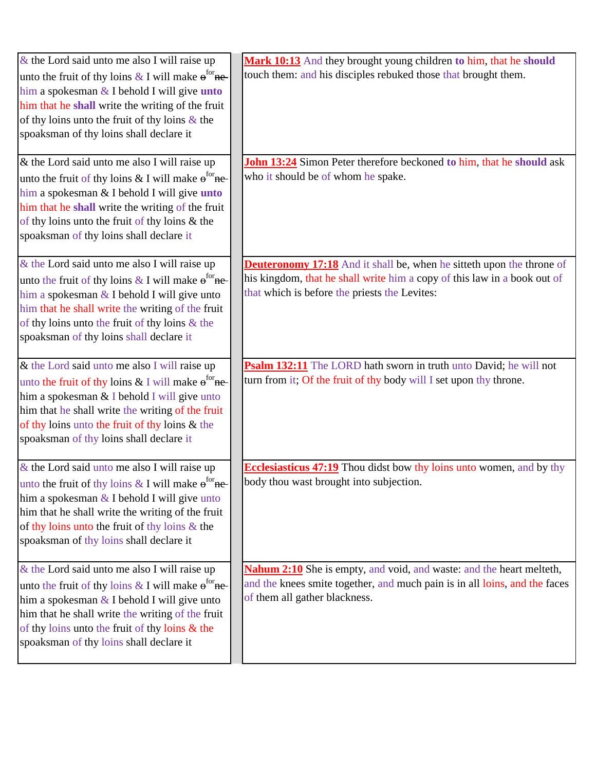| $\&$ the Lord said unto me also I will raise up         | Mark 10:13 And they brought young children to him, that he should            |
|---------------------------------------------------------|------------------------------------------------------------------------------|
| unto the fruit of thy loins & I will make $e^{for}$ ne  | touch them: and his disciples rebuked those that brought them.               |
| him a spokesman $&$ I behold I will give <b>unto</b>    |                                                                              |
| him that he shall write the writing of the fruit        |                                                                              |
| of thy loins unto the fruit of thy loins $\&$ the       |                                                                              |
| spoaksman of thy loins shall declare it                 |                                                                              |
| & the Lord said unto me also I will raise up            | <b>John 13:24</b> Simon Peter therefore beckoned to him, that he should ask  |
| unto the fruit of thy loins & I will make $e^{for}$ ne- | who it should be of whom he spake.                                           |
| him a spokesman & I behold I will give <i>unto</i>      |                                                                              |
| him that he shall write the writing of the fruit        |                                                                              |
| of thy loins unto the fruit of thy loins & the          |                                                                              |
| spoaksman of thy loins shall declare it                 |                                                                              |
| & the Lord said unto me also I will raise up            | <b>Deuteronomy 17:18</b> And it shall be, when he sitteth upon the throne of |
| unto the fruit of thy loins & I will make $e^{for}$ ne- | his kingdom, that he shall write him a copy of this law in a book out of     |
| him a spokesman $&$ I behold I will give unto           | that which is before the priests the Levites:                                |
| him that he shall write the writing of the fruit        |                                                                              |
| of thy loins unto the fruit of thy loins $\&$ the       |                                                                              |
| spoaksman of thy loins shall declare it                 |                                                                              |
| & the Lord said unto me also I will raise up            | Psalm 132:11 The LORD hath sworn in truth unto David; he will not            |
| unto the fruit of thy loins & I will make $e^{for}$ ne- | turn from it; Of the fruit of thy body will I set upon thy throne.           |
| him a spokesman & I behold I will give unto             |                                                                              |
| him that he shall write the writing of the fruit        |                                                                              |
| of thy loins unto the fruit of thy loins & the          |                                                                              |
| spoaksman of thy loins shall declare it                 |                                                                              |
| & the Lord said unto me also I will raise up            | <b>Ecclesiasticus 47:19</b> Thou didst bow thy loins unto women, and by thy  |
| unto the fruit of thy loins & I will make $e^{for}$ ne  | body thou wast brought into subjection.                                      |
| him a spokesman $&$ I behold I will give unto           |                                                                              |
| him that he shall write the writing of the fruit        |                                                                              |
| of thy loins unto the fruit of thy loins & the          |                                                                              |
| spoaksman of thy loins shall declare it                 |                                                                              |
| & the Lord said unto me also I will raise up            | <b>Nahum 2:10</b> She is empty, and void, and waste: and the heart melteth,  |
| unto the fruit of thy loins & I will make $e^{for}$ ne- | and the knees smite together, and much pain is in all loins, and the faces   |
| him a spokesman $&$ I behold I will give unto           | of them all gather blackness.                                                |
| him that he shall write the writing of the fruit        |                                                                              |
| of thy loins unto the fruit of thy loins $\&$ the       |                                                                              |
| spoaksman of thy loins shall declare it                 |                                                                              |
|                                                         |                                                                              |